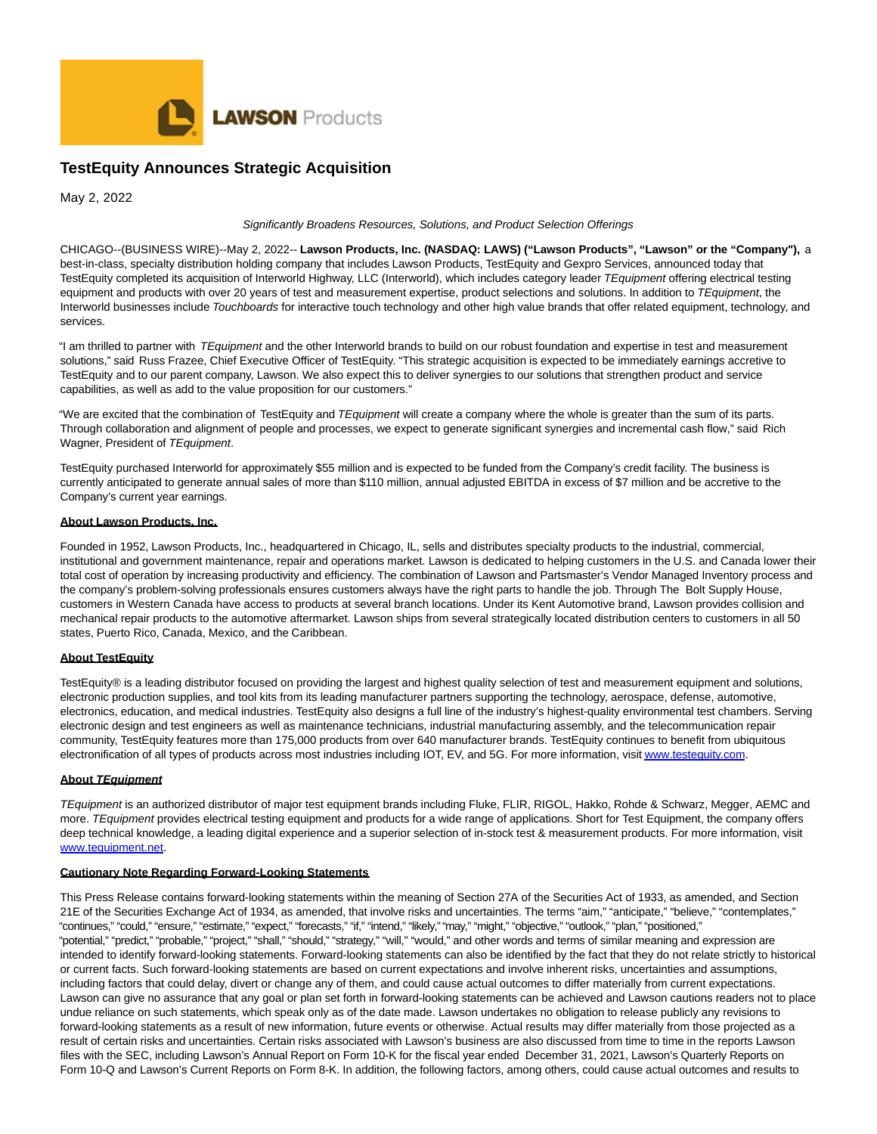

# **TestEquity Announces Strategic Acquisition**

May 2, 2022

#### Significantly Broadens Resources, Solutions, and Product Selection Offerings

CHICAGO--(BUSINESS WIRE)--May 2, 2022-- **Lawson Products, Inc. (NASDAQ: LAWS) ("Lawson Products", "Lawson" or the "Company"),** a best-in-class, specialty distribution holding company that includes Lawson Products, TestEquity and Gexpro Services, announced today that TestEquity completed its acquisition of Interworld Highway, LLC (Interworld), which includes category leader TEquipment offering electrical testing equipment and products with over 20 years of test and measurement expertise, product selections and solutions. In addition to TEquipment, the Interworld businesses include Touchboards for interactive touch technology and other high value brands that offer related equipment, technology, and services.

"I am thrilled to partner with TEquipment and the other Interworld brands to build on our robust foundation and expertise in test and measurement solutions," said Russ Frazee, Chief Executive Officer of TestEquity. "This strategic acquisition is expected to be immediately earnings accretive to TestEquity and to our parent company, Lawson. We also expect this to deliver synergies to our solutions that strengthen product and service capabilities, as well as add to the value proposition for our customers."

"We are excited that the combination of TestEquity and TEquipment will create a company where the whole is greater than the sum of its parts. Through collaboration and alignment of people and processes, we expect to generate significant synergies and incremental cash flow," said Rich Wagner, President of TEquipment.

TestEquity purchased Interworld for approximately \$55 million and is expected to be funded from the Company's credit facility. The business is currently anticipated to generate annual sales of more than \$110 million, annual adjusted EBITDA in excess of \$7 million and be accretive to the Company's current year earnings.

#### **About Lawson Products, Inc.**

Founded in 1952, Lawson Products, Inc., headquartered in Chicago, IL, sells and distributes specialty products to the industrial, commercial, institutional and government maintenance, repair and operations market. Lawson is dedicated to helping customers in the U.S. and Canada lower their total cost of operation by increasing productivity and efficiency. The combination of Lawson and Partsmaster's Vendor Managed Inventory process and the company's problem-solving professionals ensures customers always have the right parts to handle the job. Through The Bolt Supply House, customers in Western Canada have access to products at several branch locations. Under its Kent Automotive brand, Lawson provides collision and mechanical repair products to the automotive aftermarket. Lawson ships from several strategically located distribution centers to customers in all 50 states, Puerto Rico, Canada, Mexico, and the Caribbean.

## **About TestEquity**

TestEquity® is a leading distributor focused on providing the largest and highest quality selection of test and measurement equipment and solutions, electronic production supplies, and tool kits from its leading manufacturer partners supporting the technology, aerospace, defense, automotive, electronics, education, and medical industries. TestEquity also designs a full line of the industry's highest-quality environmental test chambers. Serving electronic design and test engineers as well as maintenance technicians, industrial manufacturing assembly, and the telecommunication repair community, TestEquity features more than 175,000 products from over 640 manufacturer brands. TestEquity continues to benefit from ubiquitous electronification of all types of products across most industries including IOT, EV, and 5G. For more information, visi[t www.testequity.com.](https://cts.businesswire.com/ct/CT?id=smartlink&url=http%3A%2F%2Fwww.testequity.com&esheet=52701323&newsitemid=20220428006231&lan=en-US&anchor=www.testequity.com&index=1&md5=4fec33042977fc161d5513fb15484ba5)

## **About TEquipment**

TEquipment is an authorized distributor of major test equipment brands including Fluke, FLIR, RIGOL, Hakko, Rohde & Schwarz, Megger, AEMC and more. TEquipment provides electrical testing equipment and products for a wide range of applications. Short for Test Equipment, the company offers deep technical knowledge, a leading digital experience and a superior selection of in-stock test & measurement products. For more information, visit [www.tequipment.net.](https://cts.businesswire.com/ct/CT?id=smartlink&url=http%3A%2F%2Fwww.tequipment.net&esheet=52701323&newsitemid=20220428006231&lan=en-US&anchor=www.tequipment.net&index=2&md5=aa43d25703910785fa9d1b3c820d76df)

## **Cautionary Note Regarding Forward-Looking Statements**

This Press Release contains forward-looking statements within the meaning of Section 27A of the Securities Act of 1933, as amended, and Section 21E of the Securities Exchange Act of 1934, as amended, that involve risks and uncertainties. The terms "aim," "anticipate," "believe," "contemplates," "continues," "could," "ensure," "estimate," "expect," "forecasts," "if," "intend," "likely," "may," "might," "objective," "outlook," "plan," "positioned," "potential," "predict," "probable," "project," "shall," "should," "strategy," "will," "would," and other words and terms of similar meaning and expression are intended to identify forward-looking statements. Forward-looking statements can also be identified by the fact that they do not relate strictly to historical or current facts. Such forward-looking statements are based on current expectations and involve inherent risks, uncertainties and assumptions, including factors that could delay, divert or change any of them, and could cause actual outcomes to differ materially from current expectations. Lawson can give no assurance that any goal or plan set forth in forward-looking statements can be achieved and Lawson cautions readers not to place undue reliance on such statements, which speak only as of the date made. Lawson undertakes no obligation to release publicly any revisions to forward-looking statements as a result of new information, future events or otherwise. Actual results may differ materially from those projected as a result of certain risks and uncertainties. Certain risks associated with Lawson's business are also discussed from time to time in the reports Lawson files with the SEC, including Lawson's Annual Report on Form 10-K for the fiscal year ended December 31, 2021, Lawson's Quarterly Reports on Form 10-Q and Lawson's Current Reports on Form 8-K. In addition, the following factors, among others, could cause actual outcomes and results to